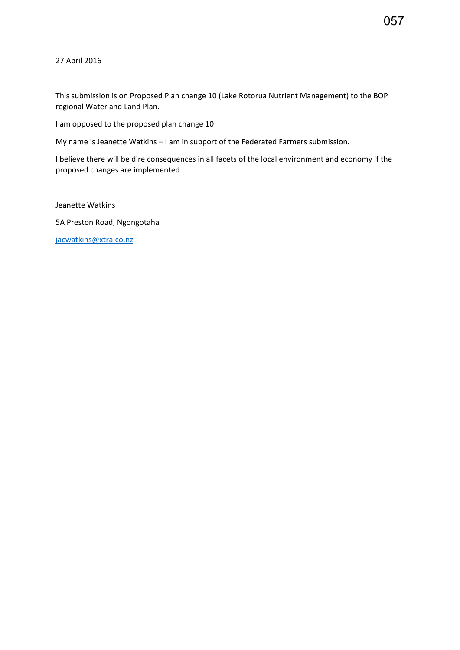057

27 April 2016

This submission is on Proposed Plan change 10 (Lake Rotorua Nutrient Management) to the BOP regional Water and Land Plan.

I am opposed to the proposed plan change 10

My name is Jeanette Watkins – I am in support of the Federated Farmers submission.

I believe there will be dire consequences in all facets of the local environment and economy if the proposed changes are implemented.

Jeanette Watkins

5A Preston Road, Ngongotaha

[jacwatkins@xtra.co.nz](mailto:jacwatkins@xtra.co.nz)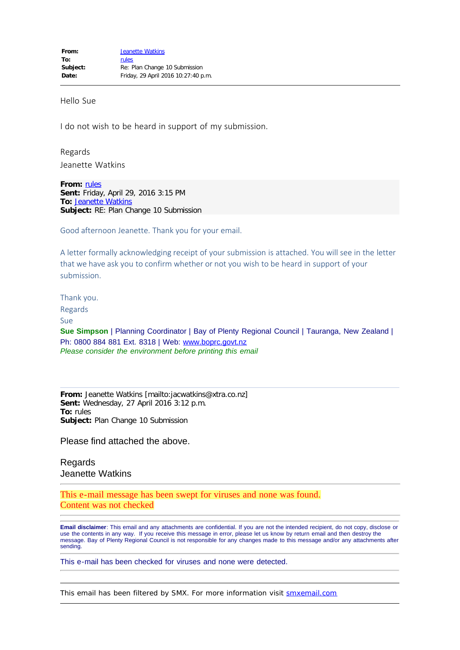Hello Sue

I do not wish to be heard in support of my submission.

Regards Jeanette Watkins

**From:** [rules](mailto:rules@boprc.govt.nz) **Sent:** Friday, April 29, 2016 3:15 PM **To:** [Jeanette Watkins](mailto:jacwatkins@xtra.co.nz) **Subject:** RE: Plan Change 10 Submission

Good afternoon Jeanette. Thank you for your email.

A letter formally acknowledging receipt of your submission is attached. You will see in the letter that we have ask you to confirm whether or not you wish to be heard in support of your submission.

Thank you.

Regards

Sue

**Sue Simpson** | Planning Coordinator | Bay of Plenty Regional Council | Tauranga, New Zealand | Ph: 0800 884 881 Ext. 8318 | Web: [www.boprc.govt.nz](http://www.boprc.govt.nz/) *Please consider the environment before printing this email*

**From:** Jeanette Watkins [mailto:jacwatkins@xtra.co.nz] **Sent:** Wednesday, 27 April 2016 3:12 p.m. **To:** rules **Subject:** Plan Change 10 Submission

Please find attached the above.

Regards Jeanette Watkins

This e-mail message has been swept for viruses and none was found. Content was not checked

**Email disclaimer**: This email and any attachments are confidential. If you are not the intended recipient, do not copy, disclose or use the contents in any way. If you receive this message in error, please let us know by return email and then destroy the message. Bay of Plenty Regional Council is not responsible for any changes made to this message and/or any attachments after sending.

This e-mail has been checked for viruses and none were detected.

This email has been filtered by SMX. For more information visit [smxemail.com](http://smxemail.com/)